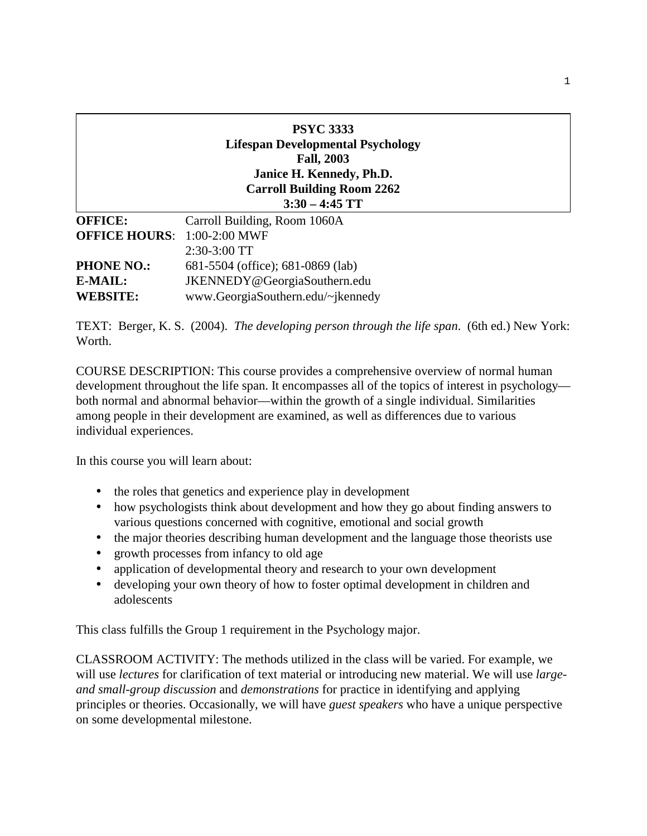|                                    | <b>PSYC 3333</b><br><b>Lifespan Developmental Psychology</b><br><b>Fall, 2003</b><br>Janice H. Kennedy, Ph.D.<br><b>Carroll Building Room 2262</b><br>$3:30 - 4:45$ TT |
|------------------------------------|------------------------------------------------------------------------------------------------------------------------------------------------------------------------|
| <b>OFFICE:</b>                     | Carroll Building, Room 1060A                                                                                                                                           |
| <b>OFFICE HOURS: 1:00-2:00 MWF</b> |                                                                                                                                                                        |
|                                    | $2:30-3:00$ TT                                                                                                                                                         |
| <b>PHONE NO.:</b>                  | 681-5504 (office); 681-0869 (lab)                                                                                                                                      |
| E-MAIL:                            | JKENNEDY@GeorgiaSouthern.edu                                                                                                                                           |
| <b>WEBSITE:</b>                    | www.GeorgiaSouthern.edu/~jkennedy                                                                                                                                      |

TEXT: Berger, K. S. (2004). *The developing person through the life span*. (6th ed.) New York: Worth.

COURSE DESCRIPTION: This course provides a comprehensive overview of normal human development throughout the life span. It encompasses all of the topics of interest in psychology both normal and abnormal behavior—within the growth of a single individual. Similarities among people in their development are examined, as well as differences due to various individual experiences.

In this course you will learn about:

- the roles that genetics and experience play in development
- how psychologists think about development and how they go about finding answers to various questions concerned with cognitive, emotional and social growth
- the major theories describing human development and the language those theorists use
- growth processes from infancy to old age
- application of developmental theory and research to your own development
- developing your own theory of how to foster optimal development in children and adolescents

This class fulfills the Group 1 requirement in the Psychology major.

CLASSROOM ACTIVITY: The methods utilized in the class will be varied. For example, we will use *lectures* for clarification of text material or introducing new material. We will use *largeand small-group discussion* and *demonstrations* for practice in identifying and applying principles or theories. Occasionally, we will have *guest speakers* who have a unique perspective on some developmental milestone.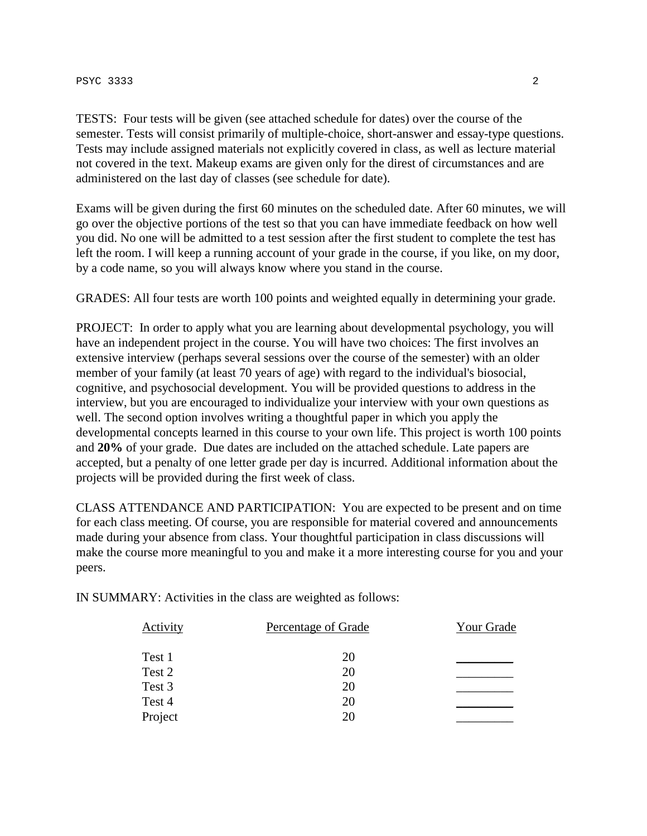### $PSTC$  3333 2

TESTS: Four tests will be given (see attached schedule for dates) over the course of the semester. Tests will consist primarily of multiple-choice, short-answer and essay-type questions. Tests may include assigned materials not explicitly covered in class, as well as lecture material not covered in the text. Makeup exams are given only for the direst of circumstances and are administered on the last day of classes (see schedule for date).

Exams will be given during the first 60 minutes on the scheduled date. After 60 minutes, we will go over the objective portions of the test so that you can have immediate feedback on how well you did. No one will be admitted to a test session after the first student to complete the test has left the room. I will keep a running account of your grade in the course, if you like, on my door, by a code name, so you will always know where you stand in the course.

GRADES: All four tests are worth 100 points and weighted equally in determining your grade.

PROJECT: In order to apply what you are learning about developmental psychology, you will have an independent project in the course. You will have two choices: The first involves an extensive interview (perhaps several sessions over the course of the semester) with an older member of your family (at least 70 years of age) with regard to the individual's biosocial, cognitive, and psychosocial development. You will be provided questions to address in the interview, but you are encouraged to individualize your interview with your own questions as well. The second option involves writing a thoughtful paper in which you apply the developmental concepts learned in this course to your own life. This project is worth 100 points and **20%** of your grade. Due dates are included on the attached schedule. Late papers are accepted, but a penalty of one letter grade per day is incurred. Additional information about the projects will be provided during the first week of class.

CLASS ATTENDANCE AND PARTICIPATION: You are expected to be present and on time for each class meeting. Of course, you are responsible for material covered and announcements made during your absence from class. Your thoughtful participation in class discussions will make the course more meaningful to you and make it a more interesting course for you and your peers.

IN SUMMARY: Activities in the class are weighted as follows:

| Activity | Percentage of Grade | Your Grade |
|----------|---------------------|------------|
| Test 1   | 20                  |            |
| Test 2   | 20                  |            |
| Test 3   | 20                  |            |
| Test 4   | 20                  |            |
| Project  | 20                  |            |
|          |                     |            |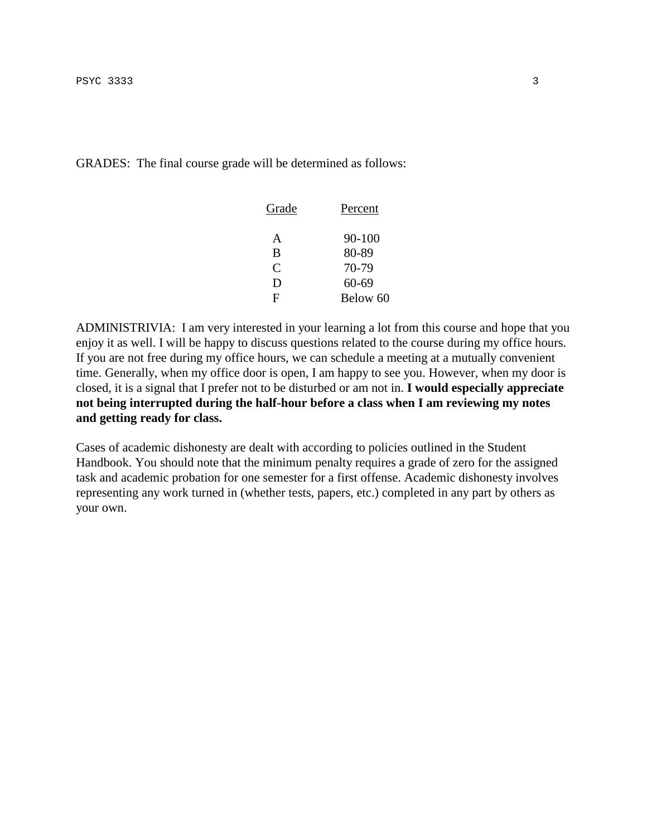GRADES: The final course grade will be determined as follows:

| Grade        | Percent   |
|--------------|-----------|
| A            | 90-100    |
| B            | 80-89     |
| $\subset$    | 70-79     |
| $\mathsf{D}$ | $60 - 69$ |
| F            | Below 60  |

ADMINISTRIVIA: I am very interested in your learning a lot from this course and hope that you enjoy it as well. I will be happy to discuss questions related to the course during my office hours. If you are not free during my office hours, we can schedule a meeting at a mutually convenient time. Generally, when my office door is open, I am happy to see you. However, when my door is closed, it is a signal that I prefer not to be disturbed or am not in. **I would especially appreciate not being interrupted during the half-hour before a class when I am reviewing my notes and getting ready for class.** 

Cases of academic dishonesty are dealt with according to policies outlined in the Student Handbook. You should note that the minimum penalty requires a grade of zero for the assigned task and academic probation for one semester for a first offense. Academic dishonesty involves representing any work turned in (whether tests, papers, etc.) completed in any part by others as your own.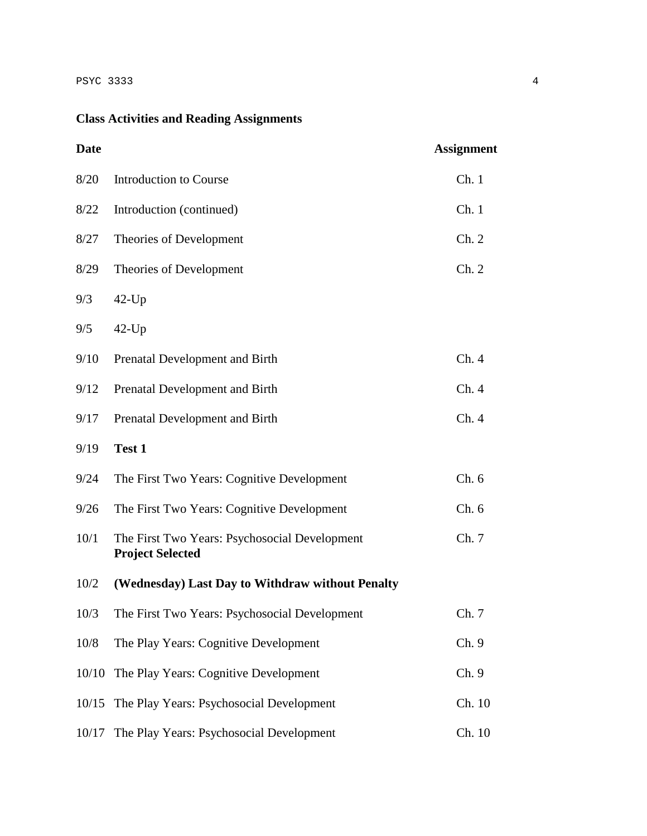# **Class Activities and Reading Assignments**

| <b>Date</b> |                                                                          | <b>Assignment</b> |
|-------------|--------------------------------------------------------------------------|-------------------|
| 8/20        | Introduction to Course                                                   | Ch.1              |
| 8/22        | Introduction (continued)                                                 | Ch.1              |
| 8/27        | Theories of Development                                                  | Ch. 2             |
| 8/29        | Theories of Development                                                  | Ch. 2             |
| 9/3         | $42$ -Up                                                                 |                   |
| 9/5         | $42$ -Up                                                                 |                   |
| 9/10        | Prenatal Development and Birth                                           | Ch.4              |
| 9/12        | Prenatal Development and Birth                                           | Ch. 4             |
| 9/17        | Prenatal Development and Birth                                           | Ch.4              |
| 9/19        | Test 1                                                                   |                   |
| 9/24        | The First Two Years: Cognitive Development                               | Ch.6              |
| 9/26        | The First Two Years: Cognitive Development                               | Ch.6              |
| 10/1        | The First Two Years: Psychosocial Development<br><b>Project Selected</b> | Ch. 7             |
| 10/2        | (Wednesday) Last Day to Withdraw without Penalty                         |                   |
| 10/3        | The First Two Years: Psychosocial Development                            | Ch. 7             |
| 10/8        | The Play Years: Cognitive Development                                    | Ch. 9             |
| 10/10       | The Play Years: Cognitive Development                                    | Ch. 9             |
| 10/15       | The Play Years: Psychosocial Development                                 | Ch. 10            |
| 10/17       | The Play Years: Psychosocial Development                                 | Ch. 10            |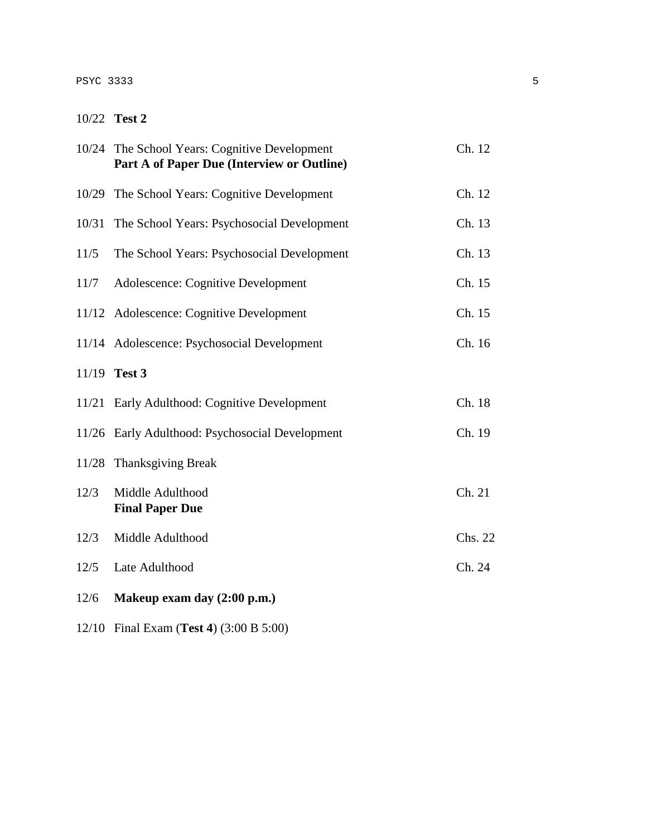## PSYC 3333 5

## 10/22 **Test 2**

|       | 10/24 The School Years: Cognitive Development<br>Part A of Paper Due (Interview or Outline) | Ch. 12  |
|-------|---------------------------------------------------------------------------------------------|---------|
| 10/29 | The School Years: Cognitive Development                                                     | Ch. 12  |
| 10/31 | The School Years: Psychosocial Development                                                  | Ch. 13  |
| 11/5  | The School Years: Psychosocial Development                                                  | Ch. 13  |
| 11/7  | Adolescence: Cognitive Development                                                          | Ch. 15  |
|       | 11/12 Adolescence: Cognitive Development                                                    | Ch. 15  |
|       | 11/14 Adolescence: Psychosocial Development                                                 | Ch. 16  |
|       | 11/19 Test 3                                                                                |         |
|       | 11/21 Early Adulthood: Cognitive Development                                                | Ch. 18  |
|       | 11/26 Early Adulthood: Psychosocial Development                                             | Ch. 19  |
|       | 11/28 Thanksgiving Break                                                                    |         |
| 12/3  | Middle Adulthood<br><b>Final Paper Due</b>                                                  | Ch. 21  |
| 12/3  | Middle Adulthood                                                                            | Chs. 22 |
| 12/5  | Late Adulthood                                                                              | Ch. 24  |
| 12/6  | Makeup exam day (2:00 p.m.)                                                                 |         |

12/10 Final Exam (**Test 4**) (3:00 B 5:00)